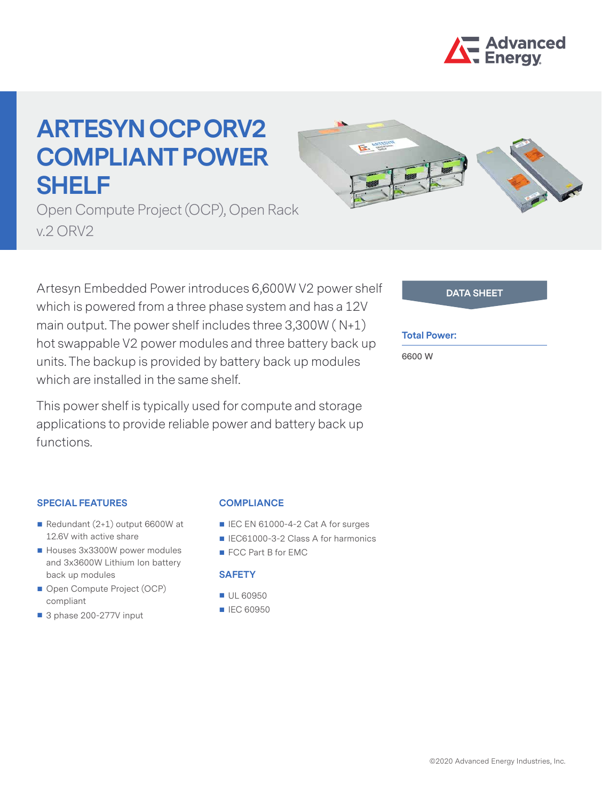

# **ARTESYN OCP ORV2 COMPLIANT POWER SHELF**



Open Compute Project (OCP), Open Rack v.2 ORV2

Artesyn Embedded Power introduces 6,600W V2 power shelf which is powered from a three phase system and has a 12V main output. The power shelf includes three 3,300W ( N+1) hot swappable V2 power modules and three battery back up units. The backup is provided by battery back up modules which are installed in the same shelf.

This power shelf is typically used for compute and storage applications to provide reliable power and battery back up functions.

| <b>DATA SHEET</b> |  |
|-------------------|--|
|                   |  |
|                   |  |

### **Total Power:**

**6600 W**

## **SPECIAL FEATURES**

- Redundant (2+1) output 6600W at 12.6V with active share
- Houses 3x3300W power modules and 3x3600W Lithium Ion battery back up modules
- Open Compute Project (OCP) compliant
- 3 phase 200-277V input

#### **COMPLIANCE**

- IEC EN 61000-4-2 Cat A for surges
- IEC61000-3-2 Class A for harmonics
- FCC Part B for EMC

### **SAFETY**

- UL 60950
- **IEC 60950**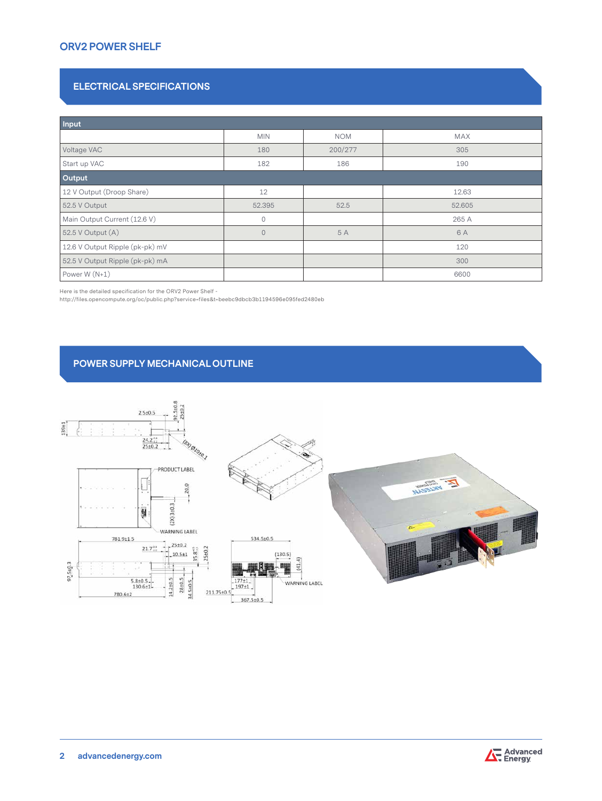# **ORV2 POWER SHELF**

## **ELECTRICAL SPECIFICATIONS**

| <b>Input</b>                    |                |            |            |  |  |  |  |
|---------------------------------|----------------|------------|------------|--|--|--|--|
|                                 | <b>MIN</b>     | <b>NOM</b> | <b>MAX</b> |  |  |  |  |
| Voltage VAC                     | 180            | 200/277    | 305        |  |  |  |  |
| Start up VAC                    | 182            | 186        | 190        |  |  |  |  |
| Output                          |                |            |            |  |  |  |  |
| 12 V Output (Droop Share)       | 12             |            | 12.63      |  |  |  |  |
| 52.5 V Output                   | 52.395         | 52.5       | 52.605     |  |  |  |  |
| Main Output Current (12.6 V)    | 0              |            | 265 A      |  |  |  |  |
| 52.5 V Output (A)               | $\overline{0}$ | 5 A        | 6 A        |  |  |  |  |
| 12.6 V Output Ripple (pk-pk) mV |                |            | 120        |  |  |  |  |
| 52.5 V Output Ripple (pk-pk) mA |                |            | 300        |  |  |  |  |
| Power W (N+1)                   |                |            | 6600       |  |  |  |  |

Here is the detailed specification for the ORV2 Power Shelf -

http://files.opencompute.org/oc/public.php?service=files&t=beebc9dbcb3b1194596e095fed2480eb

## **POWER SUPPLY MECHANICAL OUTLINE**



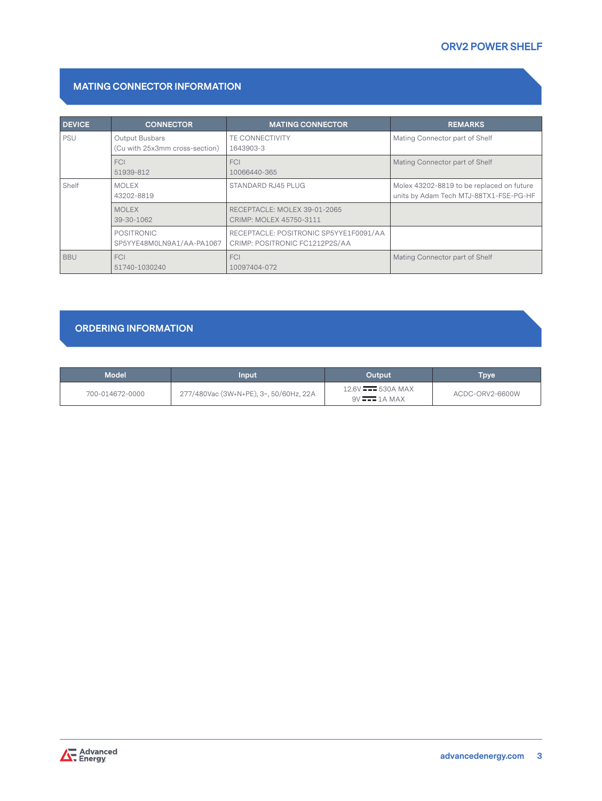# **MATING CONNECTOR INFORMATION**

| <b>DEVICE</b> | <b>CONNECTOR</b>                                 | <b>MATING CONNECTOR</b>                                                  | <b>REMARKS</b>                                                                      |
|---------------|--------------------------------------------------|--------------------------------------------------------------------------|-------------------------------------------------------------------------------------|
| <b>PSU</b>    | Output Busbars<br>(Cu with 25x3mm cross-section) | <b>TE CONNECTIVITY</b><br>1643903-3                                      | Mating Connector part of Shelf                                                      |
|               | <b>FCI</b><br>51939-812                          | FCI<br>10066440-365                                                      | Mating Connector part of Shelf                                                      |
| Shelf         | <b>MOLEX</b><br>43202-8819                       | STANDARD RJ45 PLUG                                                       | Molex 43202-8819 to be replaced on future<br>units by Adam Tech MTJ-88TX1-FSE-PG-HF |
|               | <b>MOLEX</b><br>39-30-1062                       | RECEPTACLE: MOLEX 39-01-2065<br>CRIMP: MOLEX 45750-3111                  |                                                                                     |
|               | POSITRONIC<br>SP5YYE48M0LN9A1/AA-PA1067          | RECEPTACLE: POSITRONIC SP5YYE1F0091/AA<br>CRIMP: POSITRONIC FC1212P2S/AA |                                                                                     |
| <b>BBU</b>    | <b>FCI</b><br>51740-1030240                      | FCI<br>10097404-072                                                      | Mating Connector part of Shelf                                                      |

## **ORDERING INFORMATION**

| <b>Model</b>    | Input                                  | Output                                              | Tpve            |
|-----------------|----------------------------------------|-----------------------------------------------------|-----------------|
| 700-014672-0000 | 277/480Vac (3W+N+PE), 3~, 50/60Hz, 22A | $12.6V$ $\longrightarrow 530A$ MAX<br>$9V = 1A MAX$ | ACDC-ORV2-6600W |